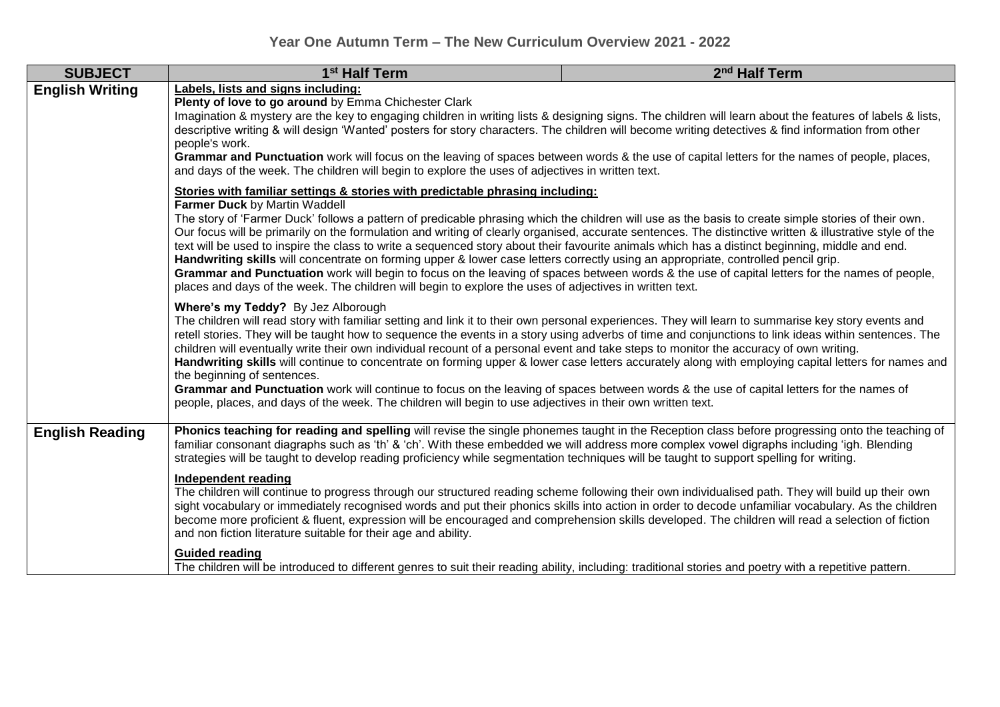| <b>SUBJECT</b>         | 1 <sup>st</sup> Half Term                                                                                                                                                                                                                                                                                                                                                                                                                                                                                                                                                                                                                                                                                                                                                                                                                                                                                                                                                                         | 2 <sup>nd</sup> Half Term |  |
|------------------------|---------------------------------------------------------------------------------------------------------------------------------------------------------------------------------------------------------------------------------------------------------------------------------------------------------------------------------------------------------------------------------------------------------------------------------------------------------------------------------------------------------------------------------------------------------------------------------------------------------------------------------------------------------------------------------------------------------------------------------------------------------------------------------------------------------------------------------------------------------------------------------------------------------------------------------------------------------------------------------------------------|---------------------------|--|
| <b>English Writing</b> | Labels, lists and signs including:<br>Plenty of love to go around by Emma Chichester Clark<br>Imagination & mystery are the key to engaging children in writing lists & designing signs. The children will learn about the features of labels & lists,<br>descriptive writing & will design 'Wanted' posters for story characters. The children will become writing detectives & find information from other<br>people's work.<br>Grammar and Punctuation work will focus on the leaving of spaces between words & the use of capital letters for the names of people, places,<br>and days of the week. The children will begin to explore the uses of adjectives in written text.                                                                                                                                                                                                                                                                                                                |                           |  |
|                        | Stories with familiar settings & stories with predictable phrasing including:<br>Farmer Duck by Martin Waddell<br>The story of 'Farmer Duck' follows a pattern of predicable phrasing which the children will use as the basis to create simple stories of their own.<br>Our focus will be primarily on the formulation and writing of clearly organised, accurate sentences. The distinctive written & illustrative style of the<br>text will be used to inspire the class to write a sequenced story about their favourite animals which has a distinct beginning, middle and end.<br>Handwriting skills will concentrate on forming upper & lower case letters correctly using an appropriate, controlled pencil grip.<br>Grammar and Punctuation work will begin to focus on the leaving of spaces between words & the use of capital letters for the names of people,<br>places and days of the week. The children will begin to explore the uses of adjectives in written text.             |                           |  |
|                        | Where's my Teddy? By Jez Alborough<br>The children will read story with familiar setting and link it to their own personal experiences. They will learn to summarise key story events and<br>retell stories. They will be taught how to sequence the events in a story using adverbs of time and conjunctions to link ideas within sentences. The<br>children will eventually write their own individual recount of a personal event and take steps to monitor the accuracy of own writing.<br>Handwriting skills will continue to concentrate on forming upper & lower case letters accurately along with employing capital letters for names and<br>the beginning of sentences.<br>Grammar and Punctuation work will continue to focus on the leaving of spaces between words & the use of capital letters for the names of<br>people, places, and days of the week. The children will begin to use adjectives in their own written text.                                                       |                           |  |
| <b>English Reading</b> | Phonics teaching for reading and spelling will revise the single phonemes taught in the Reception class before progressing onto the teaching of<br>familiar consonant diagraphs such as 'th' & 'ch'. With these embedded we will address more complex vowel digraphs including 'igh. Blending<br>strategies will be taught to develop reading proficiency while segmentation techniques will be taught to support spelling for writing.<br>Independent reading<br>The children will continue to progress through our structured reading scheme following their own individualised path. They will build up their own<br>sight vocabulary or immediately recognised words and put their phonics skills into action in order to decode unfamiliar vocabulary. As the children<br>become more proficient & fluent, expression will be encouraged and comprehension skills developed. The children will read a selection of fiction<br>and non fiction literature suitable for their age and ability. |                           |  |
|                        | <b>Guided reading</b><br>The children will be introduced to different genres to suit their reading ability, including: traditional stories and poetry with a repetitive pattern.                                                                                                                                                                                                                                                                                                                                                                                                                                                                                                                                                                                                                                                                                                                                                                                                                  |                           |  |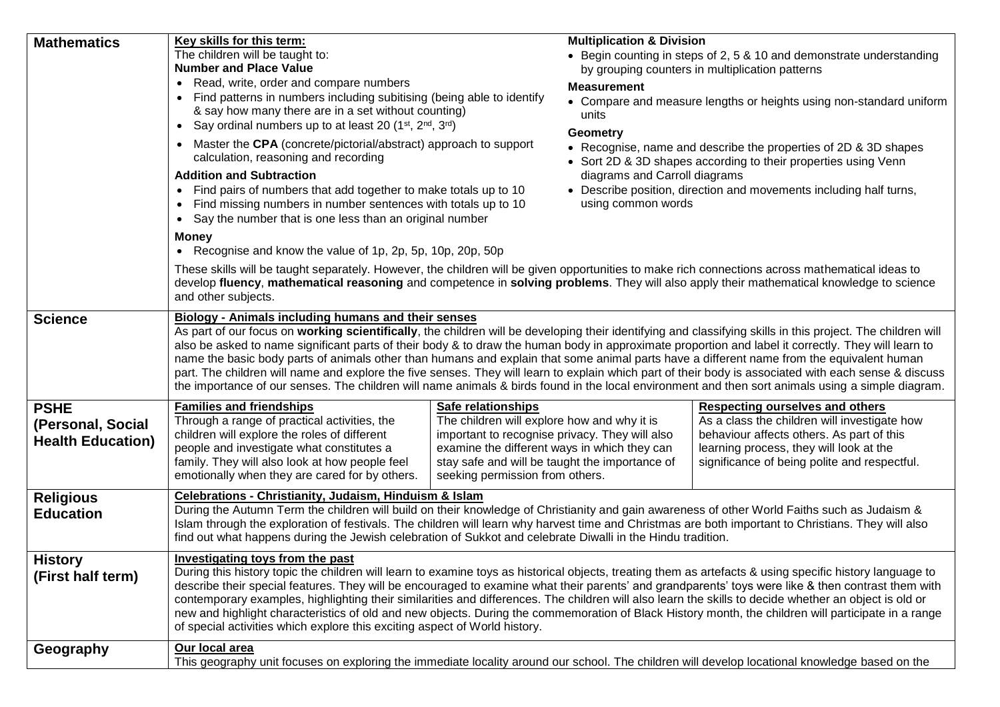| <b>Mathematics</b>                                           | Key skills for this term:<br><b>Multiplication &amp; Division</b><br>The children will be taught to:<br>• Begin counting in steps of 2, 5 & 10 and demonstrate understanding<br><b>Number and Place Value</b><br>by grouping counters in multiplication patterns<br>• Read, write, order and compare numbers<br><b>Measurement</b><br>Find patterns in numbers including subitising (being able to identify<br>$\bullet$<br>• Compare and measure lengths or heights using non-standard uniform<br>& say how many there are in a set without counting)<br>units<br>• Say ordinal numbers up to at least 20 $(1^{st}, 2^{nd}, 3^{rd})$<br><b>Geometry</b><br>• Master the CPA (concrete/pictorial/abstract) approach to support<br>• Recognise, name and describe the properties of 2D & 3D shapes<br>calculation, reasoning and recording<br>• Sort 2D & 3D shapes according to their properties using Venn<br><b>Addition and Subtraction</b><br>diagrams and Carroll diagrams<br>• Describe position, direction and movements including half turns,<br>Find pairs of numbers that add together to make totals up to 10<br>$\bullet$<br>Find missing numbers in number sentences with totals up to 10<br>using common words<br>$\bullet$<br>Say the number that is one less than an original number<br><b>Money</b><br>• Recognise and know the value of 1p, 2p, 5p, 10p, 20p, 50p<br>These skills will be taught separately. However, the children will be given opportunities to make rich connections across mathematical ideas to |  |  |
|--------------------------------------------------------------|----------------------------------------------------------------------------------------------------------------------------------------------------------------------------------------------------------------------------------------------------------------------------------------------------------------------------------------------------------------------------------------------------------------------------------------------------------------------------------------------------------------------------------------------------------------------------------------------------------------------------------------------------------------------------------------------------------------------------------------------------------------------------------------------------------------------------------------------------------------------------------------------------------------------------------------------------------------------------------------------------------------------------------------------------------------------------------------------------------------------------------------------------------------------------------------------------------------------------------------------------------------------------------------------------------------------------------------------------------------------------------------------------------------------------------------------------------------------------------------------------------------------------------------|--|--|
|                                                              | develop fluency, mathematical reasoning and competence in solving problems. They will also apply their mathematical knowledge to science<br>and other subjects.                                                                                                                                                                                                                                                                                                                                                                                                                                                                                                                                                                                                                                                                                                                                                                                                                                                                                                                                                                                                                                                                                                                                                                                                                                                                                                                                                                        |  |  |
| <b>Science</b>                                               | Biology - Animals including humans and their senses<br>As part of our focus on working scientifically, the children will be developing their identifying and classifying skills in this project. The children will<br>also be asked to name significant parts of their body & to draw the human body in approximate proportion and label it correctly. They will learn to<br>name the basic body parts of animals other than humans and explain that some animal parts have a different name from the equivalent human<br>part. The children will name and explore the five senses. They will learn to explain which part of their body is associated with each sense & discuss<br>the importance of our senses. The children will name animals & birds found in the local environment and then sort animals using a simple diagram.                                                                                                                                                                                                                                                                                                                                                                                                                                                                                                                                                                                                                                                                                                   |  |  |
| <b>PSHE</b><br>(Personal, Social<br><b>Health Education)</b> | <b>Families and friendships</b><br><b>Safe relationships</b><br><b>Respecting ourselves and others</b><br>The children will explore how and why it is<br>Through a range of practical activities, the<br>As a class the children will investigate how<br>children will explore the roles of different<br>important to recognise privacy. They will also<br>behaviour affects others. As part of this<br>people and investigate what constitutes a<br>examine the different ways in which they can<br>learning process, they will look at the<br>family. They will also look at how people feel<br>stay safe and will be taught the importance of<br>significance of being polite and respectful.<br>emotionally when they are cared for by others.<br>seeking permission from others.                                                                                                                                                                                                                                                                                                                                                                                                                                                                                                                                                                                                                                                                                                                                                  |  |  |
| <b>Religious</b><br><b>Education</b>                         | <b>Celebrations - Christianity, Judaism, Hinduism &amp; Islam</b><br>During the Autumn Term the children will build on their knowledge of Christianity and gain awareness of other World Faiths such as Judaism &<br>Islam through the exploration of festivals. The children will learn why harvest time and Christmas are both important to Christians. They will also<br>find out what happens during the Jewish celebration of Sukkot and celebrate Diwalli in the Hindu tradition.                                                                                                                                                                                                                                                                                                                                                                                                                                                                                                                                                                                                                                                                                                                                                                                                                                                                                                                                                                                                                                                |  |  |
| <b>History</b><br>(First half term)                          | <b>Investigating toys from the past</b><br>During this history topic the children will learn to examine toys as historical objects, treating them as artefacts & using specific history language to<br>describe their special features. They will be encouraged to examine what their parents' and grandparents' toys were like & then contrast them with<br>contemporary examples, highlighting their similarities and differences. The children will also learn the skills to decide whether an object is old or<br>new and highlight characteristics of old and new objects. During the commemoration of Black History month, the children will participate in a range<br>of special activities which explore this exciting aspect of World history.                                                                                                                                                                                                                                                                                                                                                                                                                                                                                                                                                                                                                                                                                                                                                                                |  |  |
| Geography                                                    | Our local area<br>This geography unit focuses on exploring the immediate locality around our school. The children will develop locational knowledge based on the                                                                                                                                                                                                                                                                                                                                                                                                                                                                                                                                                                                                                                                                                                                                                                                                                                                                                                                                                                                                                                                                                                                                                                                                                                                                                                                                                                       |  |  |